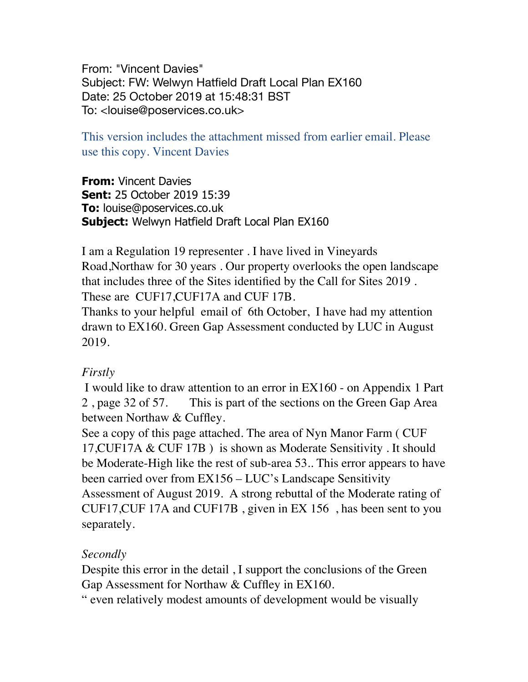From: "Vincent Davies" Subject: FW: Welwyn Hatfield Draft Local Plan EX160 Date: 25 October 2019 at 15:48:31 BST To: <louise@poservices.co.uk>

This version includes the attachment missed from earlier email. Please use this copy. Vincent Davies

**From:** Vincent Davies **Sent:** 25 October 2019 15:39 **To:** louise@poservices.co.uk **Subject:** Welwyn Hatfield Draft Local Plan EX160

I am a Regulation 19 representer . I have lived in Vineyards Road,Northaw for 30 years . Our property overlooks the open landscape that includes three of the Sites identified by the Call for Sites 2019 . These are CUF17,CUF17A and CUF 17B.

Thanks to your helpful email of 6th October, I have had my attention drawn to EX160. Green Gap Assessment conducted by LUC in August 2019.

## *Firstly*

I would like to draw attention to an error in EX160 - on Appendix 1 Part 2 , page 32 of 57. This is part of the sections on the Green Gap Area between Northaw & Cuffley.

See a copy of this page attached. The area of Nyn Manor Farm ( CUF 17,CUF17A & CUF 17B ) is shown as Moderate Sensitivity . It should be Moderate-High like the rest of sub-area 53.. This error appears to have been carried over from EX156 – LUC's Landscape Sensitivity Assessment of August 2019. A strong rebuttal of the Moderate rating of CUF17,CUF 17A and CUF17B , given in EX 156 , has been sent to you separately.

## *Secondly*

Despite this error in the detail , I support the conclusions of the Green Gap Assessment for Northaw & Cuffley in EX160.

" even relatively modest amounts of development would be visually